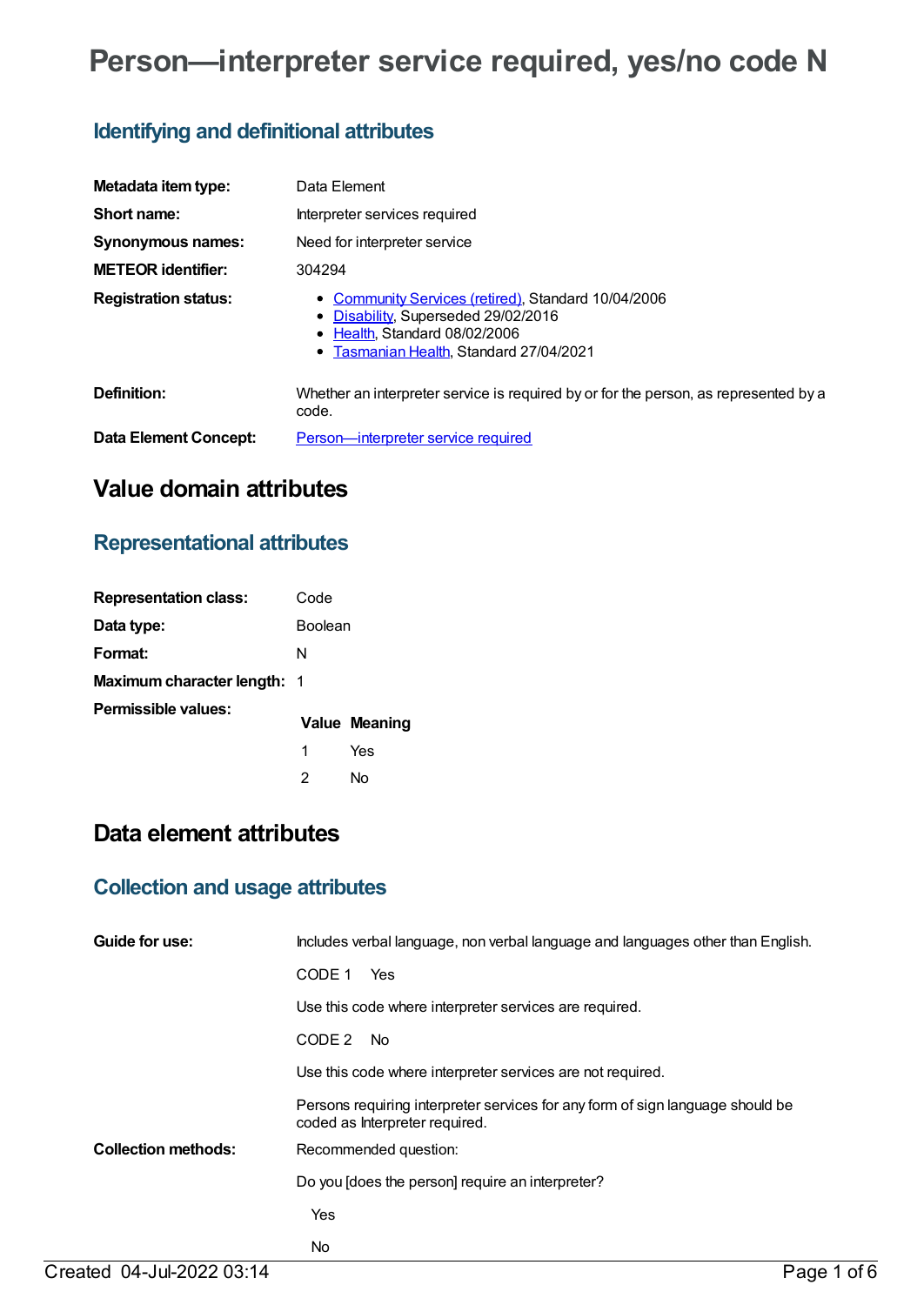# **Person—interpreter service required, yes/no code N**

# **Identifying and definitional attributes**

| Metadata item type:         | Data Element                                                                                                                                                        |
|-----------------------------|---------------------------------------------------------------------------------------------------------------------------------------------------------------------|
| Short name:                 | Interpreter services required                                                                                                                                       |
| <b>Synonymous names:</b>    | Need for interpreter service                                                                                                                                        |
| <b>METEOR identifier:</b>   | 304294                                                                                                                                                              |
| <b>Registration status:</b> | • Community Services (retired), Standard 10/04/2006<br>• Disability, Superseded 29/02/2016<br>• Health Standard 08/02/2006<br>Tasmanian Health, Standard 27/04/2021 |
| Definition:                 | Whether an interpreter service is required by or for the person, as represented by a<br>code.                                                                       |
| Data Element Concept:       | <b>Person</b> —interpreter service required                                                                                                                         |

# **Value domain attributes**

### **Representational attributes**

| <b>Representation class:</b>       | Code           |                      |
|------------------------------------|----------------|----------------------|
| Data type:                         | <b>Boolean</b> |                      |
| Format:                            | N              |                      |
| <b>Maximum character length: 1</b> |                |                      |
| Permissible values:                |                | <b>Value Meaning</b> |
|                                    | 1              | Yes                  |
|                                    | 2              | N٥                   |

# **Data element attributes**

### **Collection and usage attributes**

| Guide for use:             | Includes verbal language, non verbal language and languages other than English.                                  |
|----------------------------|------------------------------------------------------------------------------------------------------------------|
|                            | CODE 1<br>Yes                                                                                                    |
|                            | Use this code where interpreter services are required.                                                           |
|                            | CODE 2<br>No.                                                                                                    |
|                            | Use this code where interpreter services are not required.                                                       |
|                            | Persons requiring interpreter services for any form of sign language should be<br>coded as Interpreter required. |
| <b>Collection methods:</b> | Recommended question:                                                                                            |
|                            | Do you [does the person] require an interpreter?                                                                 |
|                            | Yes                                                                                                              |
|                            | No                                                                                                               |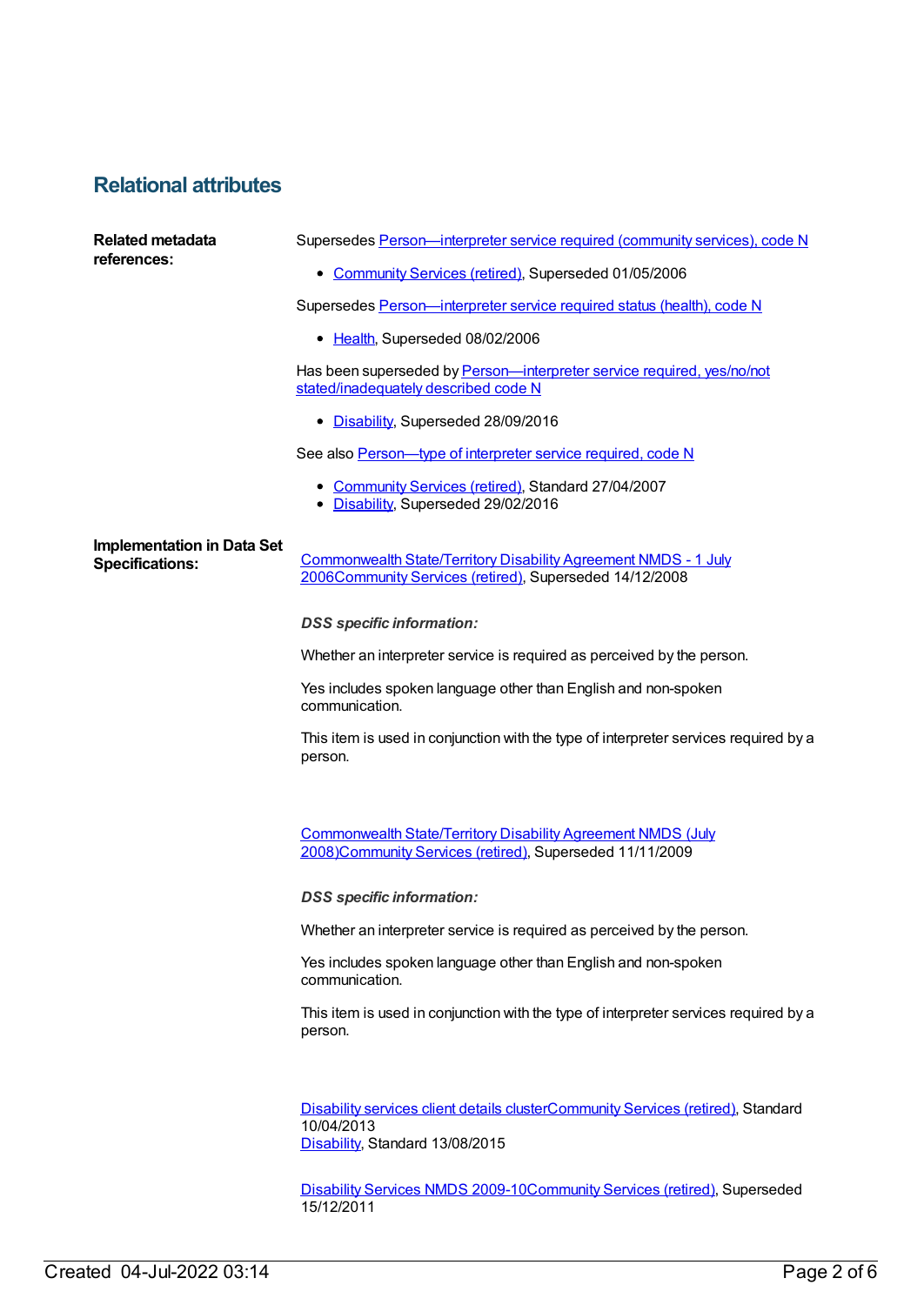### **Relational attributes**

| <b>Related metadata</b><br>references:                      | Supersedes Person-interpreter service required (community services), code N                                                     |
|-------------------------------------------------------------|---------------------------------------------------------------------------------------------------------------------------------|
|                                                             | • Community Services (retired), Superseded 01/05/2006                                                                           |
|                                                             | Supersedes Person-interpreter service required status (health), code N                                                          |
|                                                             | • Health, Superseded 08/02/2006                                                                                                 |
|                                                             | Has been superseded by Person—interpreter service required, yes/no/not<br>stated/inadequately described code N                  |
|                                                             | • Disability, Superseded 28/09/2016                                                                                             |
|                                                             | See also Person-type of interpreter service required, code N                                                                    |
|                                                             | • Community Services (retired), Standard 27/04/2007<br>• Disability, Superseded 29/02/2016                                      |
| <b>Implementation in Data Set</b><br><b>Specifications:</b> | Commonwealth State/Territory Disability Agreement NMDS - 1 July<br>2006Community Services (retired), Superseded 14/12/2008      |
|                                                             | <b>DSS</b> specific information:                                                                                                |
|                                                             | Whether an interpreter service is required as perceived by the person.                                                          |
|                                                             | Yes includes spoken language other than English and non-spoken<br>communication.                                                |
|                                                             | This item is used in conjunction with the type of interpreter services required by a<br>person.                                 |
|                                                             | <b>Commonwealth State/Territory Disability Agreement NMDS (July</b><br>2008)Community Services (retired), Superseded 11/11/2009 |
|                                                             | <b>DSS</b> specific information:                                                                                                |
|                                                             | Whether an interpreter service is required as perceived by the person.                                                          |
|                                                             | Yes includes spoken language other than English and non-spoken<br>communication.                                                |
|                                                             | This item is used in conjunction with the type of interpreter services required by a<br>person.                                 |
|                                                             | Disability services client details clusterCommunity Services (retired), Standard<br>10/04/2013                                  |
|                                                             | Disability, Standard 13/08/2015                                                                                                 |
|                                                             | Disability Services NMDS 2009-10Community Services (retired), Superseded<br>15/12/2011                                          |
|                                                             |                                                                                                                                 |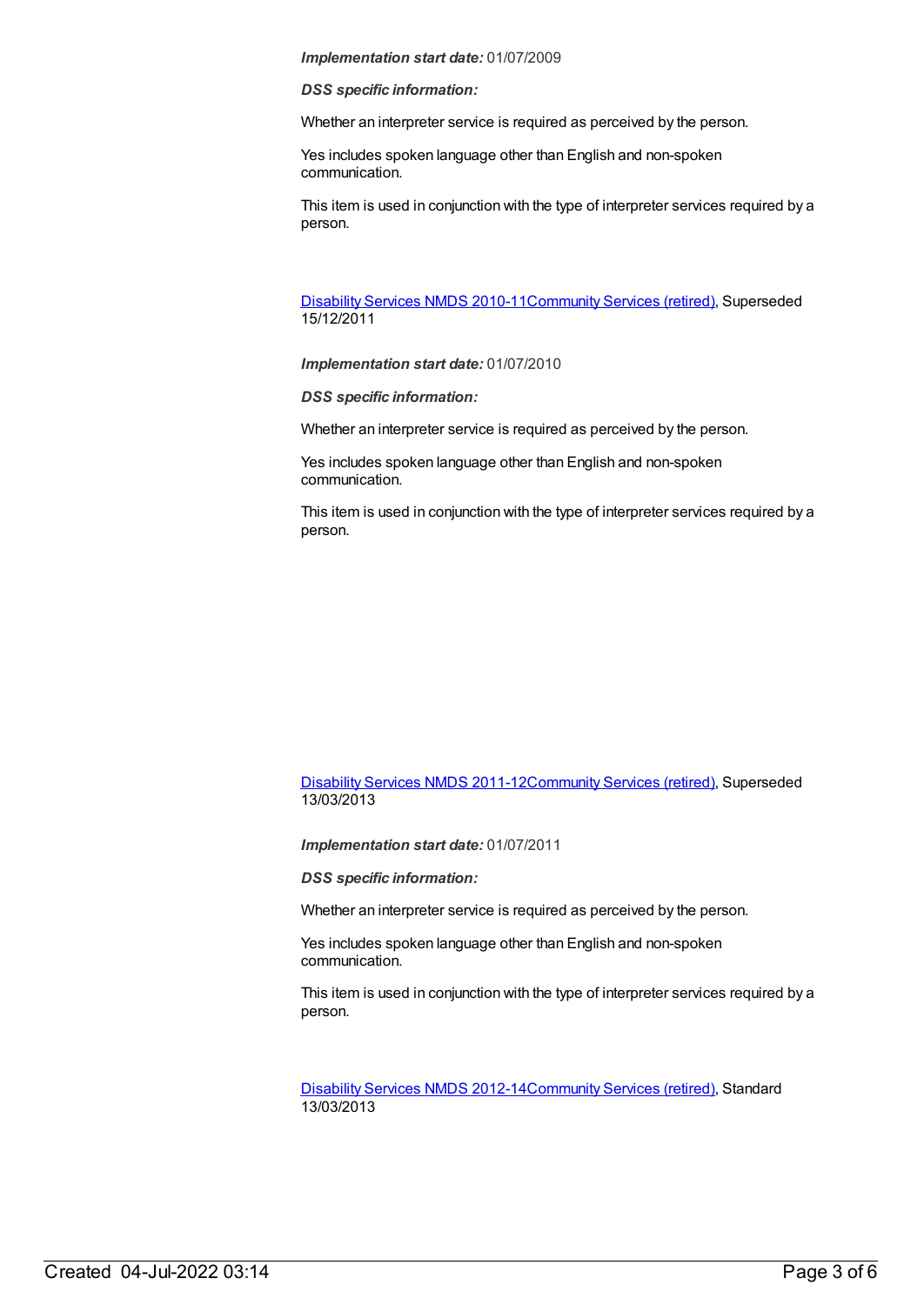### *Implementation start date:* 01/07/2009

#### *DSS specific information:*

Whether an interpreter service is required as perceived by the person.

Yes includes spoken language other than English and non-spoken communication.

This item is used in conjunction with the type of interpreter services required by a person.

[Disability](https://meteor.aihw.gov.au/content/428708) Services NMDS 2010-11[Community](https://meteor.aihw.gov.au/RegistrationAuthority/1) Services (retired), Superseded 15/12/2011

*Implementation start date:* 01/07/2010

*DSS specific information:*

Whether an interpreter service is required as perceived by the person.

Yes includes spoken language other than English and non-spoken communication.

This item is used in conjunction with the type of interpreter services required by a person.

[Disability](https://meteor.aihw.gov.au/content/461636) Services NMDS 2011-12[Community](https://meteor.aihw.gov.au/RegistrationAuthority/1) Services (retired), Superseded 13/03/2013

*Implementation start date:* 01/07/2011

*DSS specific information:*

Whether an interpreter service is required as perceived by the person.

Yes includes spoken language other than English and non-spoken communication.

This item is used in conjunction with the type of interpreter services required by a person.

[Disability](https://meteor.aihw.gov.au/content/461640) Services NMDS 2012-14[Community](https://meteor.aihw.gov.au/RegistrationAuthority/1) Services (retired), Standard 13/03/2013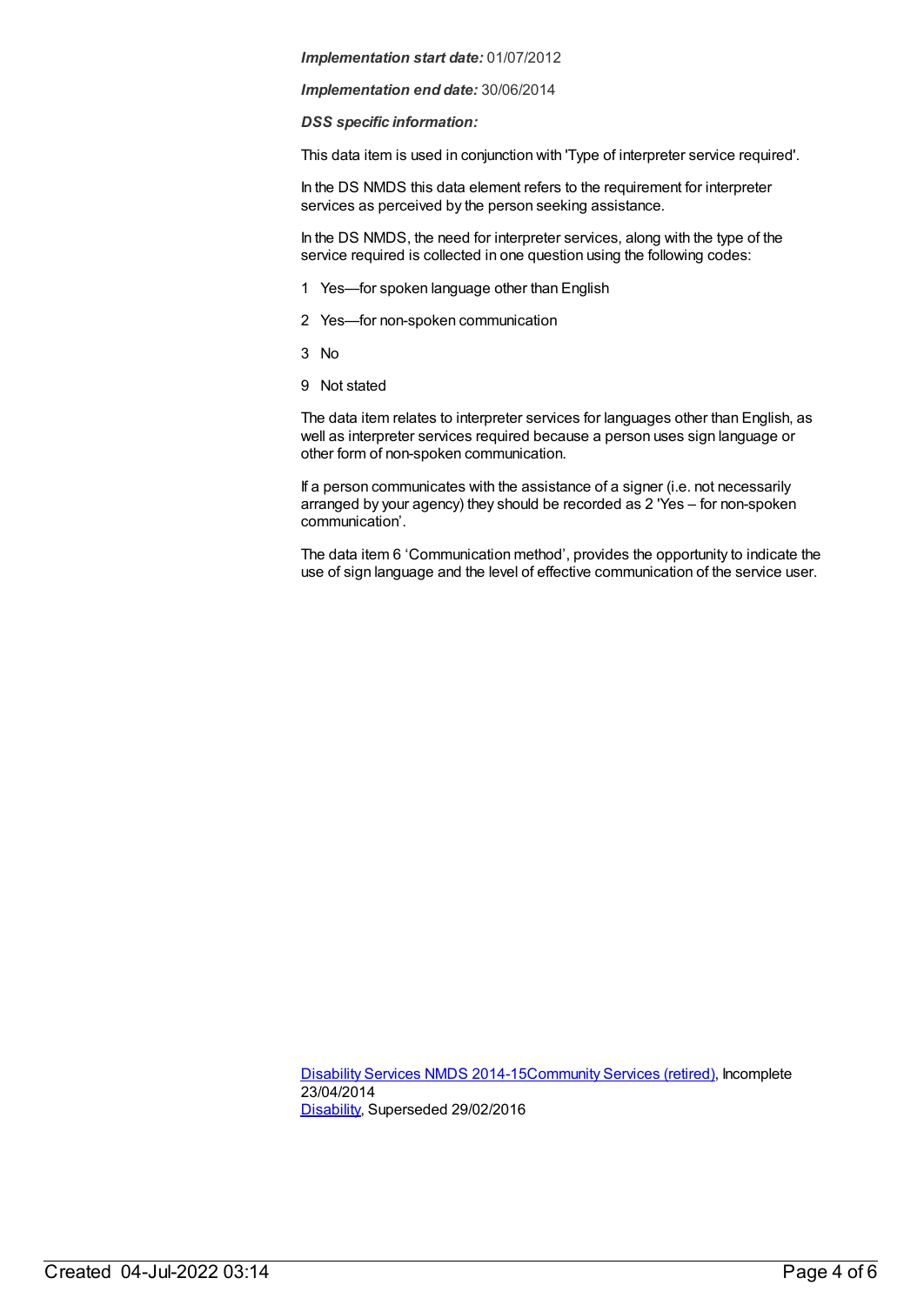#### *Implementation start date:* 01/07/2012

*Implementation end date:* 30/06/2014

*DSS specific information:*

This data item is used in conjunction with 'Type of interpreter service required'.

In the DS NMDS this data element refers to the requirement for interpreter services as perceived by the person seeking assistance.

In the DS NMDS, the need for interpreter services, along with the type of the service required is collected in one question using the following codes:

- 1 Yes—for spoken language other than English
- 2 Yes—for non-spoken communication
- 3 No
- 9 Not stated

The data item relates to interpreter services for languages other than English, as well as interpreter services required because a person uses sign language or other form of non-spoken communication.

If a person communicates with the assistance of a signer (i.e. not necessarily arranged by your agency) they should be recorded as 2 'Yes – for non-spoken communication'.

The data item 6 'Communication method', provides the opportunity to indicate the use of sign language and the level of effective communication of the service user.

[Disability](https://meteor.aihw.gov.au/content/569749) Services NMDS 2014-15[Community](https://meteor.aihw.gov.au/RegistrationAuthority/1) Services (retired), Incomplete 23/04/2014 [Disability](https://meteor.aihw.gov.au/RegistrationAuthority/16), Superseded 29/02/2016